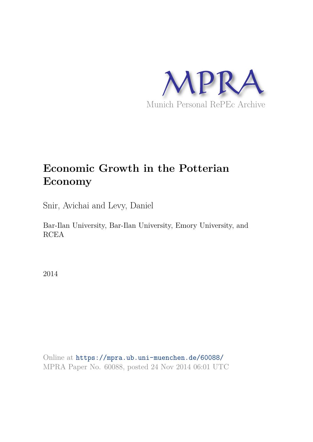

# **Economic Growth in the Potterian Economy**

Snir, Avichai and Levy, Daniel

Bar-Ilan University, Bar-Ilan University, Emory University, and RCEA

2014

Online at https://mpra.ub.uni-muenchen.de/60088/ MPRA Paper No. 60088, posted 24 Nov 2014 06:01 UTC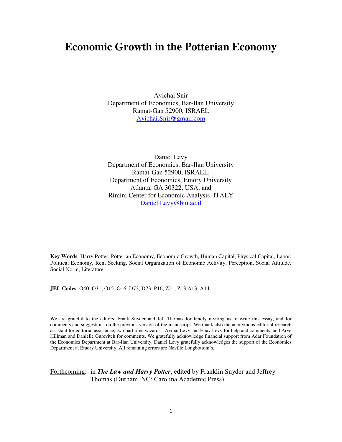# **Economic Growth in the Potterian Economy**

Avichai Snir Department of Economics, Bar-Ilan University Ramat-Gan 52900, ISRAEL Avichai.Snir@gmail.com

Daniel Levy Department of Economics, Bar-Ilan University Ramat-Gan 52900, ISRAEL, Department of Economics, Emory University Atlanta, GA 30322, USA, and Rimini Center for Economic Analysis, ITALY Daniel.Levy@biu.ac.il

**Key Words**: Harry Potter, Potterian Economy, Economic Growth, Human Capital, Physical Capital, Labor, Political Economy, Rent Seeking, Social Organization of Economic Activity, Perception, Social Attitude, Social Norm, Literature

**JEL Codes**: O40, O31, O15, O16, D72, D73, P16, Z11, Z13 A13, A14

We are grateful to the editors, Frank Snyder and Jeff Thomas for kindly inviting us to write this essay, and for comments and suggestions on the previous version of the manuscript. We thank also the anonymous editorial research assistant for editorial assistance, two part time wizards - Avihai Levy and Eliav Levy for help and comments, and Arye Hillman and Danielle Gurevitch for comments. We gratefully acknowledge financial support from Adar Foundation of the Economics Department at Bar-Ilan University. Daniel Levy gratefully acknowledges the support of the Economics Department at Emory University. All remaining errors are Neville Longbottom's.

### Forthcoming: in *The Law and Harry Potter*, edited by Franklin Snyder and Jeffrey Thomas (Durham, NC: Carolina Academic Press).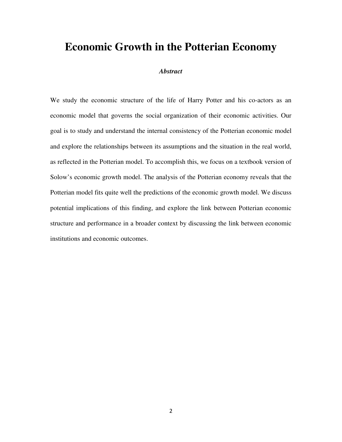## **Economic Growth in the Potterian Economy**

### *Abstract*

We study the economic structure of the life of Harry Potter and his co-actors as an economic model that governs the social organization of their economic activities. Our goal is to study and understand the internal consistency of the Potterian economic model and explore the relationships between its assumptions and the situation in the real world, as reflected in the Potterian model. To accomplish this, we focus on a textbook version of Solow's economic growth model. The analysis of the Potterian economy reveals that the Potterian model fits quite well the predictions of the economic growth model. We discuss potential implications of this finding, and explore the link between Potterian economic structure and performance in a broader context by discussing the link between economic institutions and economic outcomes.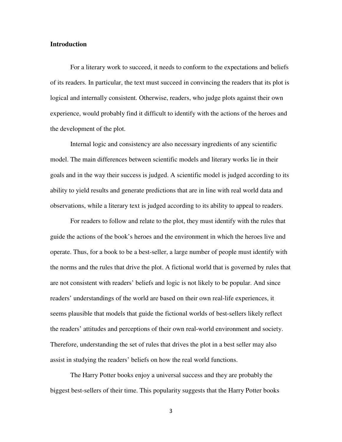#### **Introduction**

For a literary work to succeed, it needs to conform to the expectations and beliefs of its readers. In particular, the text must succeed in convincing the readers that its plot is logical and internally consistent. Otherwise, readers, who judge plots against their own experience, would probably find it difficult to identify with the actions of the heroes and the development of the plot.

Internal logic and consistency are also necessary ingredients of any scientific model. The main differences between scientific models and literary works lie in their goals and in the way their success is judged. A scientific model is judged according to its ability to yield results and generate predictions that are in line with real world data and observations, while a literary text is judged according to its ability to appeal to readers.

For readers to follow and relate to the plot, they must identify with the rules that guide the actions of the book's heroes and the environment in which the heroes live and operate. Thus, for a book to be a best-seller, a large number of people must identify with the norms and the rules that drive the plot. A fictional world that is governed by rules that are not consistent with readers' beliefs and logic is not likely to be popular. And since readers' understandings of the world are based on their own real-life experiences, it seems plausible that models that guide the fictional worlds of best-sellers likely reflect the readers' attitudes and perceptions of their own real-world environment and society. Therefore, understanding the set of rules that drives the plot in a best seller may also assist in studying the readers' beliefs on how the real world functions.

The Harry Potter books enjoy a universal success and they are probably the biggest best-sellers of their time. This popularity suggests that the Harry Potter books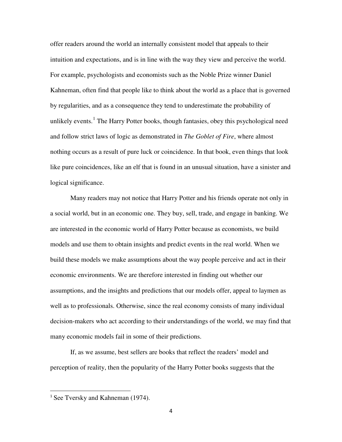offer readers around the world an internally consistent model that appeals to their intuition and expectations, and is in line with the way they view and perceive the world. For example, psychologists and economists such as the Noble Prize winner Daniel Kahneman, often find that people like to think about the world as a place that is governed by regularities, and as a consequence they tend to underestimate the probability of unlikely events.<sup>[1](#page-42-0)</sup> The Harry Potter books, though fantasies, obey this psychological need and follow strict laws of logic as demonstrated in *The Goblet of Fire*, where almost nothing occurs as a result of pure luck or coincidence. In that book, even things that look like pure coincidences, like an elf that is found in an unusual situation, have a sinister and logical significance.

Many readers may not notice that Harry Potter and his friends operate not only in a social world, but in an economic one. They buy, sell, trade, and engage in banking. We are interested in the economic world of Harry Potter because as economists, we build models and use them to obtain insights and predict events in the real world. When we build these models we make assumptions about the way people perceive and act in their economic environments. We are therefore interested in finding out whether our assumptions, and the insights and predictions that our models offer, appeal to laymen as well as to professionals. Otherwise, since the real economy consists of many individual decision-makers who act according to their understandings of the world, we may find that many economic models fail in some of their predictions.

<span id="page-4-0"></span>If, as we assume, best sellers are books that reflect the readers' model and perception of reality, then the popularity of the Harry Potter books suggests that the

<sup>&</sup>lt;sup>1</sup> See Tversky and Kahneman (1974).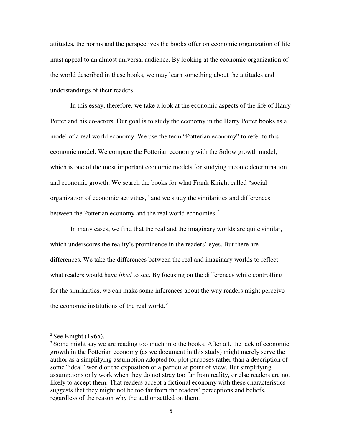attitudes, the norms and the perspectives the books offer on economic organization of life must appeal to an almost universal audience. By looking at the economic organization of the world described in these books, we may learn something about the attitudes and understandings of their readers.

In this essay, therefore, we take a look at the economic aspects of the life of Harry Potter and his co-actors. Our goal is to study the economy in the Harry Potter books as a model of a real world economy. We use the term "Potterian economy" to refer to this economic model. We compare the Potterian economy with the Solow growth model, which is one of the most important economic models for studying income determination and economic growth. We search the books for what Frank Knight called "social organization of economic activities," and we study the similarities and differences between the Potterian economy and the real world economies. $<sup>2</sup>$  $<sup>2</sup>$  $<sup>2</sup>$ </sup>

In many cases, we find that the real and the imaginary worlds are quite similar, which underscores the reality's prominence in the readers' eyes. But there are differences. We take the differences between the real and imaginary worlds to reflect what readers would have *liked* to see. By focusing on the differences while controlling for the similarities, we can make some inferences about the way readers might perceive the economic institutions of the real world. $3$ 

 $2$  See Knight (1965).

<span id="page-5-1"></span><span id="page-5-0"></span><sup>&</sup>lt;sup>3</sup> Some might say we are reading too much into the books. After all, the lack of economic growth in the Potterian economy (as we document in this study) might merely serve the author as a simplifying assumption adopted for plot purposes rather than a description of some "ideal" world or the exposition of a particular point of view. But simplifying assumptions only work when they do not stray too far from reality, or else readers are not likely to accept them. That readers accept a fictional economy with these characteristics suggests that they might not be too far from the readers' perceptions and beliefs, regardless of the reason why the author settled on them.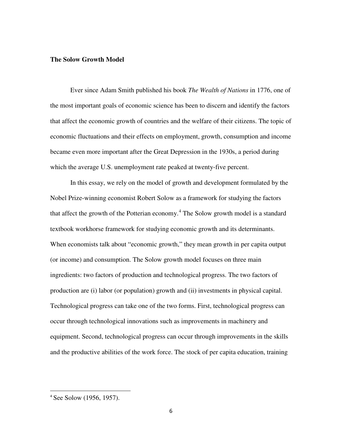#### **The Solow Growth Model**

Ever since Adam Smith published his book *The Wealth of Nations* in 1776, one of the most important goals of economic science has been to discern and identify the factors that affect the economic growth of countries and the welfare of their citizens. The topic of economic fluctuations and their effects on employment, growth, consumption and income became even more important after the Great Depression in the 1930s, a period during which the average U.S. unemployment rate peaked at twenty-five percent.

In this essay, we rely on the model of growth and development formulated by the Nobel Prize-winning economist Robert Solow as a framework for studying the factors that affect the growth of the Potterian economy.<sup>[4](#page-5-1)</sup> The Solow growth model is a standard textbook workhorse framework for studying economic growth and its determinants. When economists talk about "economic growth," they mean growth in per capita output (or income) and consumption. The Solow growth model focuses on three main ingredients: two factors of production and technological progress. The two factors of production are (i) labor (or population) growth and (ii) investments in physical capital. Technological progress can take one of the two forms. First, technological progress can occur through technological innovations such as improvements in machinery and equipment. Second, technological progress can occur through improvements in the skills and the productive abilities of the work force. The stock of per capita education, training

l

<span id="page-6-0"></span><sup>4</sup> See Solow (1956, 1957).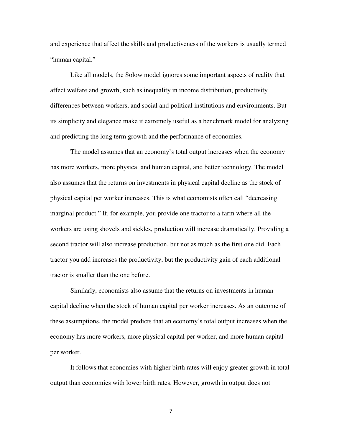and experience that affect the skills and productiveness of the workers is usually termed "human capital."

Like all models, the Solow model ignores some important aspects of reality that affect welfare and growth, such as inequality in income distribution, productivity differences between workers, and social and political institutions and environments. But its simplicity and elegance make it extremely useful as a benchmark model for analyzing and predicting the long term growth and the performance of economies.

The model assumes that an economy's total output increases when the economy has more workers, more physical and human capital, and better technology. The model also assumes that the returns on investments in physical capital decline as the stock of physical capital per worker increases. This is what economists often call "decreasing marginal product." If, for example, you provide one tractor to a farm where all the workers are using shovels and sickles, production will increase dramatically. Providing a second tractor will also increase production, but not as much as the first one did. Each tractor you add increases the productivity, but the productivity gain of each additional tractor is smaller than the one before.

Similarly, economists also assume that the returns on investments in human capital decline when the stock of human capital per worker increases. As an outcome of these assumptions, the model predicts that an economy's total output increases when the economy has more workers, more physical capital per worker, and more human capital per worker.

It follows that economies with higher birth rates will enjoy greater growth in total output than economies with lower birth rates. However, growth in output does not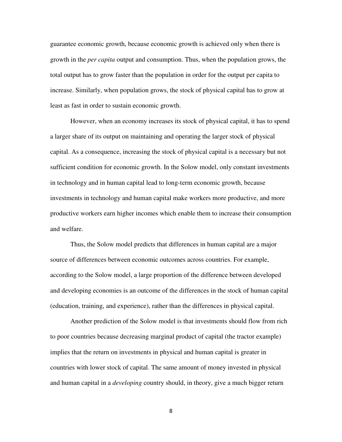guarantee economic growth, because economic growth is achieved only when there is growth in the *per capita* output and consumption. Thus, when the population grows, the total output has to grow faster than the population in order for the output per capita to increase. Similarly, when population grows, the stock of physical capital has to grow at least as fast in order to sustain economic growth.

However, when an economy increases its stock of physical capital, it has to spend a larger share of its output on maintaining and operating the larger stock of physical capital. As a consequence, increasing the stock of physical capital is a necessary but not sufficient condition for economic growth. In the Solow model, only constant investments in technology and in human capital lead to long-term economic growth, because investments in technology and human capital make workers more productive, and more productive workers earn higher incomes which enable them to increase their consumption and welfare.

Thus, the Solow model predicts that differences in human capital are a major source of differences between economic outcomes across countries. For example, according to the Solow model, a large proportion of the difference between developed and developing economies is an outcome of the differences in the stock of human capital (education, training, and experience), rather than the differences in physical capital.

Another prediction of the Solow model is that investments should flow from rich to poor countries because decreasing marginal product of capital (the tractor example) implies that the return on investments in physical and human capital is greater in countries with lower stock of capital. The same amount of money invested in physical and human capital in a *developing* country should, in theory, give a much bigger return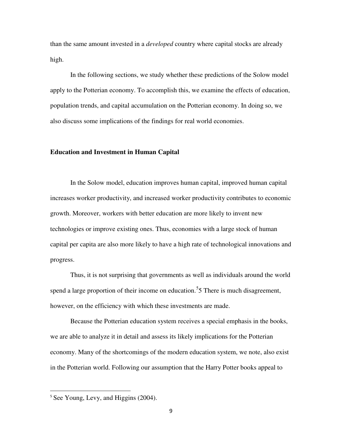than the same amount invested in a *developed* country where capital stocks are already high.

In the following sections, we study whether these predictions of the Solow model apply to the Potterian economy. To accomplish this, we examine the effects of education, population trends, and capital accumulation on the Potterian economy. In doing so, we also discuss some implications of the findings for real world economies.

#### **Education and Investment in Human Capital**

In the Solow model, education improves human capital, improved human capital increases worker productivity, and increased worker productivity contributes to economic growth. Moreover, workers with better education are more likely to invent new technologies or improve existing ones. Thus, economies with a large stock of human capital per capita are also more likely to have a high rate of technological innovations and progress.

Thus, it is not surprising that governments as well as individuals around the world spend a large proportion of their income on education.<sup>[5](#page-6-0)</sup>5 There is much disagreement, however, on the efficiency with which these investments are made.

<span id="page-9-0"></span>Because the Potterian education system receives a special emphasis in the books, we are able to analyze it in detail and assess its likely implications for the Potterian economy. Many of the shortcomings of the modern education system, we note, also exist in the Potterian world. Following our assumption that the Harry Potter books appeal to

<sup>&</sup>lt;sup>5</sup> See Young, Levy, and Higgins (2004).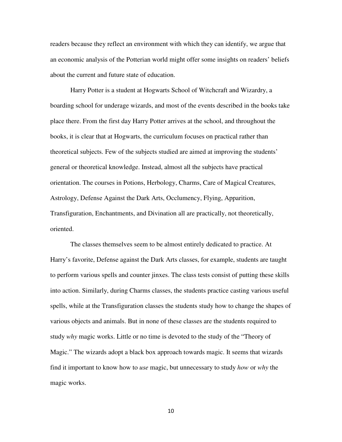readers because they reflect an environment with which they can identify, we argue that an economic analysis of the Potterian world might offer some insights on readers' beliefs about the current and future state of education.

Harry Potter is a student at Hogwarts School of Witchcraft and Wizardry, a boarding school for underage wizards, and most of the events described in the books take place there. From the first day Harry Potter arrives at the school, and throughout the books, it is clear that at Hogwarts, the curriculum focuses on practical rather than theoretical subjects. Few of the subjects studied are aimed at improving the students' general or theoretical knowledge. Instead, almost all the subjects have practical orientation. The courses in Potions, Herbology, Charms, Care of Magical Creatures, Astrology, Defense Against the Dark Arts, Occlumency, Flying, Apparition, Transfiguration, Enchantments, and Divination all are practically, not theoretically, oriented.

The classes themselves seem to be almost entirely dedicated to practice. At Harry's favorite, Defense against the Dark Arts classes, for example, students are taught to perform various spells and counter jinxes. The class tests consist of putting these skills into action. Similarly, during Charms classes, the students practice casting various useful spells, while at the Transfiguration classes the students study how to change the shapes of various objects and animals. But in none of these classes are the students required to study *why* magic works. Little or no time is devoted to the study of the "Theory of Magic." The wizards adopt a black box approach towards magic. It seems that wizards find it important to know how to *use* magic, but unnecessary to study *how* or *why* the magic works.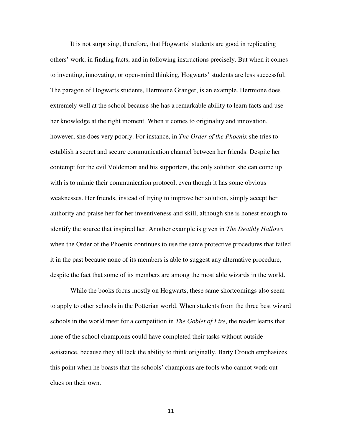It is not surprising, therefore, that Hogwarts' students are good in replicating others' work, in finding facts, and in following instructions precisely. But when it comes to inventing, innovating, or open-mind thinking, Hogwarts' students are less successful. The paragon of Hogwarts students, Hermione Granger, is an example. Hermione does extremely well at the school because she has a remarkable ability to learn facts and use her knowledge at the right moment. When it comes to originality and innovation, however, she does very poorly. For instance, in *The Order of the Phoenix* she tries to establish a secret and secure communication channel between her friends. Despite her contempt for the evil Voldemort and his supporters, the only solution she can come up with is to mimic their communication protocol, even though it has some obvious weaknesses. Her friends, instead of trying to improve her solution, simply accept her authority and praise her for her inventiveness and skill, although she is honest enough to identify the source that inspired her. Another example is given in *The Deathly Hallows*  when the Order of the Phoenix continues to use the same protective procedures that failed it in the past because none of its members is able to suggest any alternative procedure, despite the fact that some of its members are among the most able wizards in the world.

While the books focus mostly on Hogwarts, these same shortcomings also seem to apply to other schools in the Potterian world. When students from the three best wizard schools in the world meet for a competition in *The Goblet of Fire*, the reader learns that none of the school champions could have completed their tasks without outside assistance, because they all lack the ability to think originally. Barty Crouch emphasizes this point when he boasts that the schools' champions are fools who cannot work out clues on their own.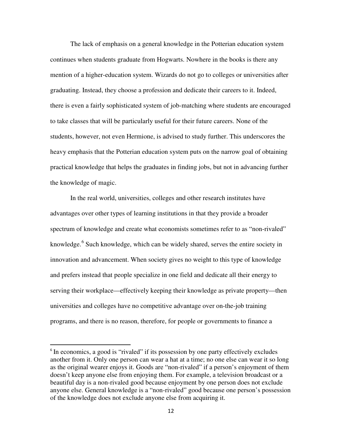The lack of emphasis on a general knowledge in the Potterian education system continues when students graduate from Hogwarts. Nowhere in the books is there any mention of a higher-education system. Wizards do not go to colleges or universities after graduating. Instead, they choose a profession and dedicate their careers to it. Indeed, there is even a fairly sophisticated system of job-matching where students are encouraged to take classes that will be particularly useful for their future careers. None of the students, however, not even Hermione, is advised to study further. This underscores the heavy emphasis that the Potterian education system puts on the narrow goal of obtaining practical knowledge that helps the graduates in finding jobs, but not in advancing further the knowledge of magic.

In the real world, universities, colleges and other research institutes have advantages over other types of learning institutions in that they provide a broader spectrum of knowledge and create what economists sometimes refer to as "non-rivaled" knowledge.<sup>[6](#page-9-0)</sup> Such knowledge, which can be widely shared, serves the entire society in innovation and advancement. When society gives no weight to this type of knowledge and prefers instead that people specialize in one field and dedicate all their energy to serving their workplace—effectively keeping their knowledge as private property—then universities and colleges have no competitive advantage over on-the-job training programs, and there is no reason, therefore, for people or governments to finance a

<span id="page-12-0"></span><sup>&</sup>lt;sup>6</sup> In economics, a good is "rivaled" if its possession by one party effectively excludes another from it. Only one person can wear a hat at a time; no one else can wear it so long as the original wearer enjoys it. Goods are "non-rivaled" if a person's enjoyment of them doesn't keep anyone else from enjoying them. For example, a television broadcast or a beautiful day is a non-rivaled good because enjoyment by one person does not exclude anyone else. General knowledge is a "non-rivaled" good because one person's possession of the knowledge does not exclude anyone else from acquiring it.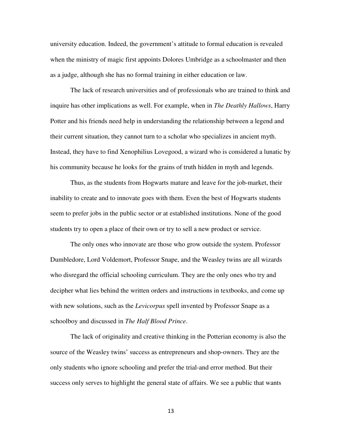university education. Indeed, the government's attitude to formal education is revealed when the ministry of magic first appoints Dolores Umbridge as a schoolmaster and then as a judge, although she has no formal training in either education or law.

The lack of research universities and of professionals who are trained to think and inquire has other implications as well. For example, when in *The Deathly Hallows*, Harry Potter and his friends need help in understanding the relationship between a legend and their current situation, they cannot turn to a scholar who specializes in ancient myth. Instead, they have to find Xenophilius Lovegood, a wizard who is considered a lunatic by his community because he looks for the grains of truth hidden in myth and legends.

Thus, as the students from Hogwarts mature and leave for the job-market, their inability to create and to innovate goes with them. Even the best of Hogwarts students seem to prefer jobs in the public sector or at established institutions. None of the good students try to open a place of their own or try to sell a new product or service.

The only ones who innovate are those who grow outside the system. Professor Dumbledore, Lord Voldemort, Professor Snape, and the Weasley twins are all wizards who disregard the official schooling curriculum. They are the only ones who try and decipher what lies behind the written orders and instructions in textbooks, and come up with new solutions, such as the *Levicorpus* spell invented by Professor Snape as a schoolboy and discussed in *The Half Blood Prince*.

The lack of originality and creative thinking in the Potterian economy is also the source of the Weasley twins' success as entrepreneurs and shop-owners. They are the only students who ignore schooling and prefer the trial-and error method. But their success only serves to highlight the general state of affairs. We see a public that wants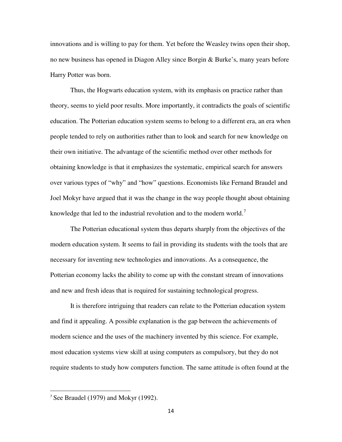innovations and is willing to pay for them. Yet before the Weasley twins open their shop, no new business has opened in Diagon Alley since Borgin & Burke's, many years before Harry Potter was born.

Thus, the Hogwarts education system, with its emphasis on practice rather than theory, seems to yield poor results. More importantly, it contradicts the goals of scientific education. The Potterian education system seems to belong to a different era, an era when people tended to rely on authorities rather than to look and search for new knowledge on their own initiative. The advantage of the scientific method over other methods for obtaining knowledge is that it emphasizes the systematic, empirical search for answers over various types of "why" and "how" questions. Economists like Fernand Braudel and Joel Mokyr have argued that it was the change in the way people thought about obtaining knowledge that led to the industrial revolution and to the modern world.<sup> $\prime$ </sup>

The Potterian educational system thus departs sharply from the objectives of the modern education system. It seems to fail in providing its students with the tools that are necessary for inventing new technologies and innovations. As a consequence, the Potterian economy lacks the ability to come up with the constant stream of innovations and new and fresh ideas that is required for sustaining technological progress.

It is therefore intriguing that readers can relate to the Potterian education system and find it appealing. A possible explanation is the gap between the achievements of modern science and the uses of the machinery invented by this science. For example, most education systems view skill at using computers as compulsory, but they do not require students to study how computers function. The same attitude is often found at the

<span id="page-14-0"></span><sup>&</sup>lt;sup>7</sup> See Braudel (1979) and Mokyr (1992).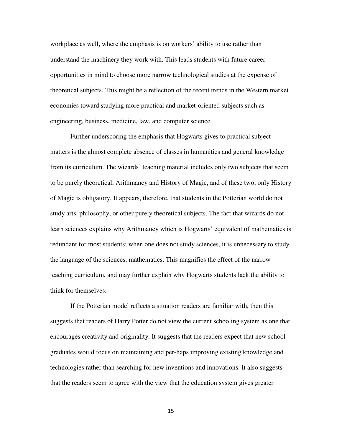workplace as well, where the emphasis is on workers' ability to use rather than understand the machinery they work with. This leads students with future career opportunities in mind to choose more narrow technological studies at the expense of theoretical subjects. This might be a reflection of the recent trends in the Western market economies toward studying more practical and market-oriented subjects such as engineering, business, medicine, law, and computer science.

Further underscoring the emphasis that Hogwarts gives to practical subject matters is the almost complete absence of classes in humanities and general knowledge from its curriculum. The wizards' teaching material includes only two subjects that seem to be purely theoretical, Arithmancy and History of Magic, and of these two, only History of Magic is obligatory. It appears, therefore, that students in the Potterian world do not study arts, philosophy, or other purely theoretical subjects. The fact that wizards do not learn sciences explains why Arithmancy which is Hogwarts' equivalent of mathematics is redundant for most students; when one does not study sciences, it is unnecessary to study the language of the sciences, mathematics. This magnifies the effect of the narrow teaching curriculum, and may further explain why Hogwarts students lack the ability to think for themselves.

If the Potterian model reflects a situation readers are familiar with, then this suggests that readers of Harry Potter do not view the current schooling system as one that encourages creativity and originality. It suggests that the readers expect that new school graduates would focus on maintaining and per-haps improving existing knowledge and technologies rather than searching for new inventions and innovations. It also suggests that the readers seem to agree with the view that the education system gives greater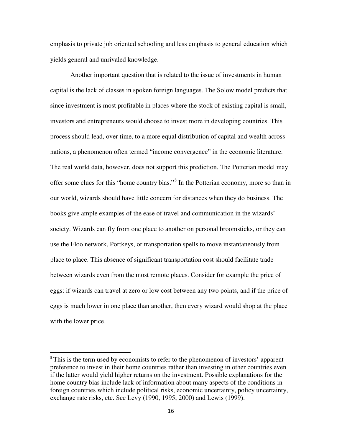emphasis to private job oriented schooling and less emphasis to general education which yields general and unrivaled knowledge.

Another important question that is related to the issue of investments in human capital is the lack of classes in spoken foreign languages. The Solow model predicts that since investment is most profitable in places where the stock of existing capital is small, investors and entrepreneurs would choose to invest more in developing countries. This process should lead, over time, to a more equal distribution of capital and wealth across nations, a phenomenon often termed "income convergence" in the economic literature. The real world data, however, does not support this prediction. The Potterian model may offer some clues for this "home country bias."<sup>[8](#page-14-0)</sup> In the Potterian economy, more so than in our world, wizards should have little concern for distances when they do business. The books give ample examples of the ease of travel and communication in the wizards' society. Wizards can fly from one place to another on personal broomsticks, or they can use the Floo network, Portkeys, or transportation spells to move instantaneously from place to place. This absence of significant transportation cost should facilitate trade between wizards even from the most remote places. Consider for example the price of eggs: if wizards can travel at zero or low cost between any two points, and if the price of eggs is much lower in one place than another, then every wizard would shop at the place with the lower price.

l

<span id="page-16-0"></span><sup>&</sup>lt;sup>8</sup> This is the term used by economists to refer to the phenomenon of investors' apparent preference to invest in their home countries rather than investing in other countries even if the latter would yield higher returns on the investment. Possible explanations for the home country bias include lack of information about many aspects of the conditions in foreign countries which include political risks, economic uncertainty, policy uncertainty, exchange rate risks, etc. See Levy (1990, 1995, 2000) and Lewis (1999).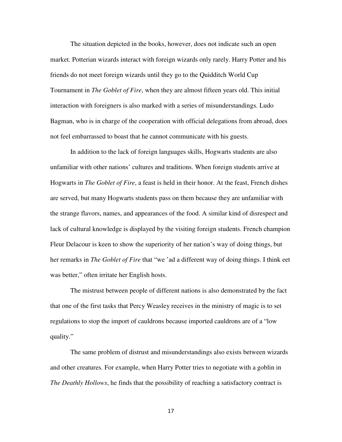The situation depicted in the books, however, does not indicate such an open market. Potterian wizards interact with foreign wizards only rarely. Harry Potter and his friends do not meet foreign wizards until they go to the Quidditch World Cup Tournament in *The Goblet of Fire*, when they are almost fifteen years old. This initial interaction with foreigners is also marked with a series of misunderstandings. Ludo Bagman, who is in charge of the cooperation with official delegations from abroad, does not feel embarrassed to boast that he cannot communicate with his guests.

In addition to the lack of foreign languages skills, Hogwarts students are also unfamiliar with other nations' cultures and traditions. When foreign students arrive at Hogwarts in *The Goblet of Fire*, a feast is held in their honor. At the feast, French dishes are served, but many Hogwarts students pass on them because they are unfamiliar with the strange flavors, names, and appearances of the food. A similar kind of disrespect and lack of cultural knowledge is displayed by the visiting foreign students. French champion Fleur Delacour is keen to show the superiority of her nation's way of doing things, but her remarks in *The Goblet of Fire* that "we 'ad a different way of doing things. I think eet was better," often irritate her English hosts.

The mistrust between people of different nations is also demonstrated by the fact that one of the first tasks that Percy Weasley receives in the ministry of magic is to set regulations to stop the import of cauldrons because imported cauldrons are of a "low quality."

The same problem of distrust and misunderstandings also exists between wizards and other creatures. For example, when Harry Potter tries to negotiate with a goblin in *The Deathly Hollows*, he finds that the possibility of reaching a satisfactory contract is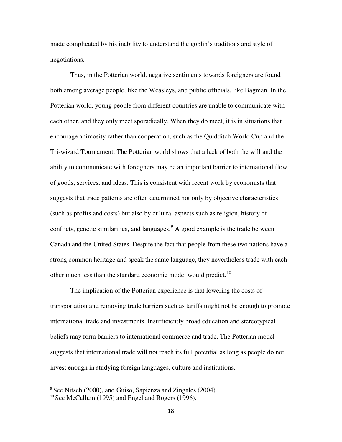made complicated by his inability to understand the goblin's traditions and style of negotiations.

Thus, in the Potterian world, negative sentiments towards foreigners are found both among average people, like the Weasleys, and public officials, like Bagman. In the Potterian world, young people from different countries are unable to communicate with each other, and they only meet sporadically. When they do meet, it is in situations that encourage animosity rather than cooperation, such as the Quidditch World Cup and the Tri-wizard Tournament. The Potterian world shows that a lack of both the will and the ability to communicate with foreigners may be an important barrier to international flow of goods, services, and ideas. This is consistent with recent work by economists that suggests that trade patterns are often determined not only by objective characteristics (such as profits and costs) but also by cultural aspects such as religion, history of conflicts, genetic similarities, and languages.<sup>[9](#page-16-0)</sup> A good example is the trade between Canada and the United States. Despite the fact that people from these two nations have a strong common heritage and speak the same language, they nevertheless trade with each other much less than the standard economic model would predict.<sup>[10](#page-18-0)</sup>

The implication of the Potterian experience is that lowering the costs of transportation and removing trade barriers such as tariffs might not be enough to promote international trade and investments. Insufficiently broad education and stereotypical beliefs may form barriers to international commerce and trade. The Potterian model suggests that international trade will not reach its full potential as long as people do not invest enough in studying foreign languages, culture and institutions.

<span id="page-18-1"></span><sup>&</sup>lt;sup>9</sup> See Nitsch (2000), and Guiso, Sapienza and Zingales (2004).

<span id="page-18-0"></span> $10$  See McCallum (1995) and Engel and Rogers (1996).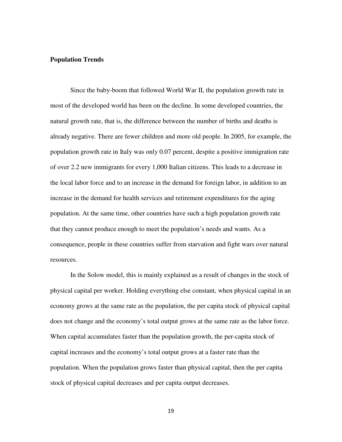#### **Population Trends**

Since the baby-boom that followed World War II, the population growth rate in most of the developed world has been on the decline. In some developed countries, the natural growth rate, that is, the difference between the number of births and deaths is already negative. There are fewer children and more old people. In 2005, for example, the population growth rate in Italy was only 0.07 percent, despite a positive immigration rate of over 2.2 new immigrants for every 1,000 Italian citizens. This leads to a decrease in the local labor force and to an increase in the demand for foreign labor, in addition to an increase in the demand for health services and retirement expenditures for the aging population. At the same time, other countries have such a high population growth rate that they cannot produce enough to meet the population's needs and wants. As a consequence, people in these countries suffer from starvation and fight wars over natural resources.

In the Solow model, this is mainly explained as a result of changes in the stock of physical capital per worker. Holding everything else constant, when physical capital in an economy grows at the same rate as the population, the per capita stock of physical capital does not change and the economy's total output grows at the same rate as the labor force. When capital accumulates faster than the population growth, the per-capita stock of capital increases and the economy's total output grows at a faster rate than the population. When the population grows faster than physical capital, then the per capita stock of physical capital decreases and per capita output decreases.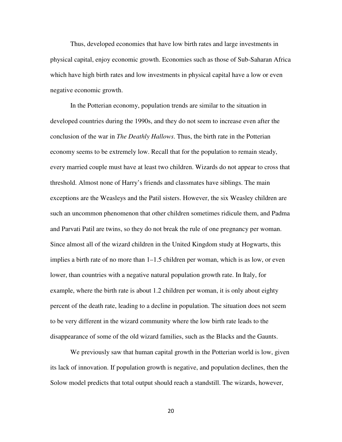Thus, developed economies that have low birth rates and large investments in physical capital, enjoy economic growth. Economies such as those of Sub-Saharan Africa which have high birth rates and low investments in physical capital have a low or even negative economic growth.

In the Potterian economy, population trends are similar to the situation in developed countries during the 1990s, and they do not seem to increase even after the conclusion of the war in *The Deathly Hallows*. Thus, the birth rate in the Potterian economy seems to be extremely low. Recall that for the population to remain steady, every married couple must have at least two children. Wizards do not appear to cross that threshold. Almost none of Harry's friends and classmates have siblings. The main exceptions are the Weasleys and the Patil sisters. However, the six Weasley children are such an uncommon phenomenon that other children sometimes ridicule them, and Padma and Parvati Patil are twins, so they do not break the rule of one pregnancy per woman. Since almost all of the wizard children in the United Kingdom study at Hogwarts, this implies a birth rate of no more than 1–1.5 children per woman, which is as low, or even lower, than countries with a negative natural population growth rate. In Italy, for example, where the birth rate is about 1.2 children per woman, it is only about eighty percent of the death rate, leading to a decline in population. The situation does not seem to be very different in the wizard community where the low birth rate leads to the disappearance of some of the old wizard families, such as the Blacks and the Gaunts.

We previously saw that human capital growth in the Potterian world is low, given its lack of innovation. If population growth is negative, and population declines, then the Solow model predicts that total output should reach a standstill. The wizards, however,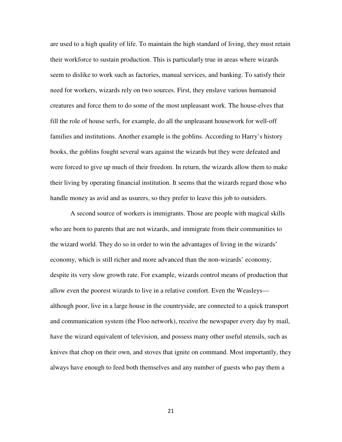are used to a high quality of life. To maintain the high standard of living, they must retain their workforce to sustain production. This is particularly true in areas where wizards seem to dislike to work such as factories, manual services, and banking. To satisfy their need for workers, wizards rely on two sources. First, they enslave various humanoid creatures and force them to do some of the most unpleasant work. The house-elves that fill the role of house serfs, for example, do all the unpleasant housework for well-off families and institutions. Another example is the goblins. According to Harry's history books, the goblins fought several wars against the wizards but they were defeated and were forced to give up much of their freedom. In return, the wizards allow them to make their living by operating financial institution. It seems that the wizards regard those who handle money as avid and as usurers, so they prefer to leave this job to outsiders.

A second source of workers is immigrants. Those are people with magical skills who are born to parents that are not wizards, and immigrate from their communities to the wizard world. They do so in order to win the advantages of living in the wizards' economy, which is still richer and more advanced than the non-wizards' economy, despite its very slow growth rate. For example, wizards control means of production that allow even the poorest wizards to live in a relative comfort. Even the Weasleys although poor, live in a large house in the countryside, are connected to a quick transport and communication system (the Floo network), receive the newspaper every day by mail, have the wizard equivalent of television, and possess many other useful utensils, such as knives that chop on their own, and stoves that ignite on command. Most importantly, they always have enough to feed both themselves and any number of guests who pay them a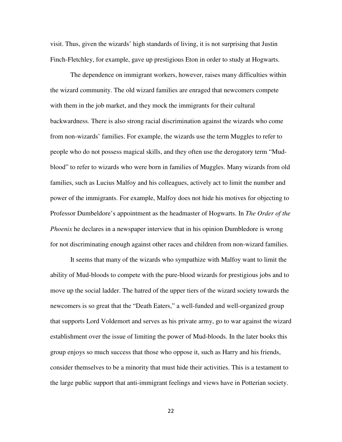visit. Thus, given the wizards' high standards of living, it is not surprising that Justin Finch-Fletchley, for example, gave up prestigious Eton in order to study at Hogwarts.

The dependence on immigrant workers, however, raises many difficulties within the wizard community. The old wizard families are enraged that newcomers compete with them in the job market, and they mock the immigrants for their cultural backwardness. There is also strong racial discrimination against the wizards who come from non-wizards' families. For example, the wizards use the term Muggles to refer to people who do not possess magical skills, and they often use the derogatory term "Mudblood" to refer to wizards who were born in families of Muggles. Many wizards from old families, such as Lucius Malfoy and his colleagues, actively act to limit the number and power of the immigrants. For example, Malfoy does not hide his motives for objecting to Professor Dumbeldore's appointment as the headmaster of Hogwarts. In *The Order of the Phoenix* he declares in a newspaper interview that in his opinion Dumbledore is wrong for not discriminating enough against other races and children from non-wizard families.

It seems that many of the wizards who sympathize with Malfoy want to limit the ability of Mud-bloods to compete with the pure-blood wizards for prestigious jobs and to move up the social ladder. The hatred of the upper tiers of the wizard society towards the newcomers is so great that the "Death Eaters," a well-funded and well-organized group that supports Lord Voldemort and serves as his private army, go to war against the wizard establishment over the issue of limiting the power of Mud-bloods. In the later books this group enjoys so much success that those who oppose it, such as Harry and his friends, consider themselves to be a minority that must hide their activities. This is a testament to the large public support that anti-immigrant feelings and views have in Potterian society.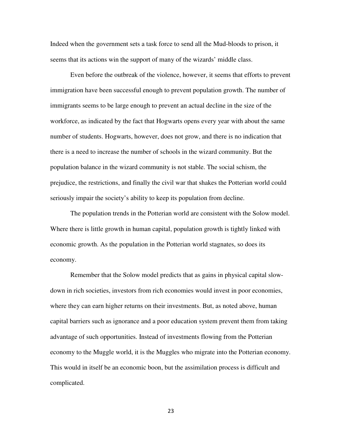Indeed when the government sets a task force to send all the Mud-bloods to prison, it seems that its actions win the support of many of the wizards' middle class.

Even before the outbreak of the violence, however, it seems that efforts to prevent immigration have been successful enough to prevent population growth. The number of immigrants seems to be large enough to prevent an actual decline in the size of the workforce, as indicated by the fact that Hogwarts opens every year with about the same number of students. Hogwarts, however, does not grow, and there is no indication that there is a need to increase the number of schools in the wizard community. But the population balance in the wizard community is not stable. The social schism, the prejudice, the restrictions, and finally the civil war that shakes the Potterian world could seriously impair the society's ability to keep its population from decline.

The population trends in the Potterian world are consistent with the Solow model. Where there is little growth in human capital, population growth is tightly linked with economic growth. As the population in the Potterian world stagnates, so does its economy.

Remember that the Solow model predicts that as gains in physical capital slowdown in rich societies, investors from rich economies would invest in poor economies, where they can earn higher returns on their investments. But, as noted above, human capital barriers such as ignorance and a poor education system prevent them from taking advantage of such opportunities. Instead of investments flowing from the Potterian economy to the Muggle world, it is the Muggles who migrate into the Potterian economy. This would in itself be an economic boon, but the assimilation process is difficult and complicated.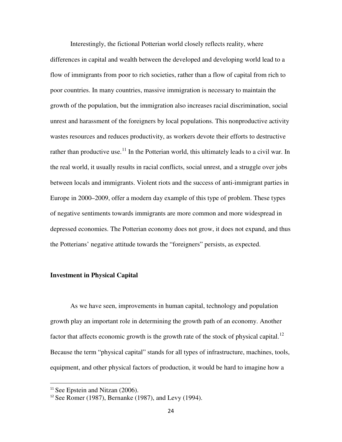Interestingly, the fictional Potterian world closely reflects reality, where differences in capital and wealth between the developed and developing world lead to a flow of immigrants from poor to rich societies, rather than a flow of capital from rich to poor countries. In many countries, massive immigration is necessary to maintain the growth of the population, but the immigration also increases racial discrimination, social unrest and harassment of the foreigners by local populations. This nonproductive activity wastes resources and reduces productivity, as workers devote their efforts to destructive rather than productive use.<sup>[11](#page-18-1)</sup> In the Potterian world, this ultimately leads to a civil war. In the real world, it usually results in racial conflicts, social unrest, and a struggle over jobs between locals and immigrants. Violent riots and the success of anti-immigrant parties in Europe in 2000–2009, offer a modern day example of this type of problem. These types of negative sentiments towards immigrants are more common and more widespread in depressed economies. The Potterian economy does not grow, it does not expand, and thus the Potterians' negative attitude towards the "foreigners" persists, as expected.

#### **Investment in Physical Capital**

As we have seen, improvements in human capital, technology and population growth play an important role in determining the growth path of an economy. Another factor that affects economic growth is the growth rate of the stock of physical capital.<sup>[12](#page-24-0)</sup> Because the term "physical capital" stands for all types of infrastructure, machines, tools, equipment, and other physical factors of production, it would be hard to imagine how a

 $11$  See Epstein and Nitzan (2006).

<span id="page-24-0"></span> $12$  See Romer (1987), Bernanke (1987), and Levy (1994).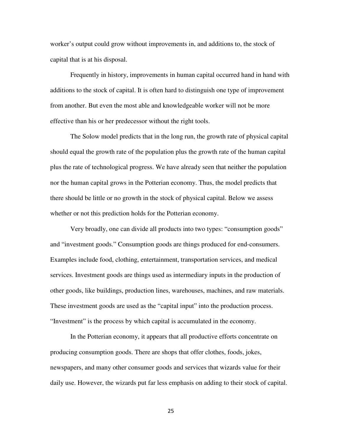worker's output could grow without improvements in, and additions to, the stock of capital that is at his disposal.

Frequently in history, improvements in human capital occurred hand in hand with additions to the stock of capital. It is often hard to distinguish one type of improvement from another. But even the most able and knowledgeable worker will not be more effective than his or her predecessor without the right tools.

The Solow model predicts that in the long run, the growth rate of physical capital should equal the growth rate of the population plus the growth rate of the human capital plus the rate of technological progress. We have already seen that neither the population nor the human capital grows in the Potterian economy. Thus, the model predicts that there should be little or no growth in the stock of physical capital. Below we assess whether or not this prediction holds for the Potterian economy.

Very broadly, one can divide all products into two types: "consumption goods" and "investment goods." Consumption goods are things produced for end-consumers. Examples include food, clothing, entertainment, transportation services, and medical services. Investment goods are things used as intermediary inputs in the production of other goods, like buildings, production lines, warehouses, machines, and raw materials. These investment goods are used as the "capital input" into the production process. "Investment" is the process by which capital is accumulated in the economy.

In the Potterian economy, it appears that all productive efforts concentrate on producing consumption goods. There are shops that offer clothes, foods, jokes, newspapers, and many other consumer goods and services that wizards value for their daily use. However, the wizards put far less emphasis on adding to their stock of capital.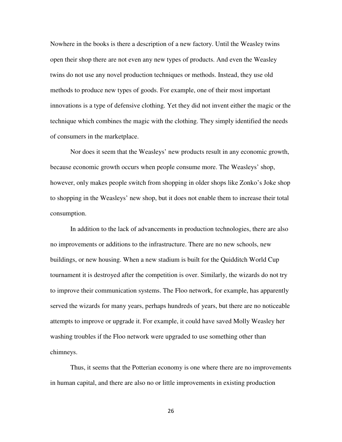Nowhere in the books is there a description of a new factory. Until the Weasley twins open their shop there are not even any new types of products. And even the Weasley twins do not use any novel production techniques or methods. Instead, they use old methods to produce new types of goods. For example, one of their most important innovations is a type of defensive clothing. Yet they did not invent either the magic or the technique which combines the magic with the clothing. They simply identified the needs of consumers in the marketplace.

Nor does it seem that the Weasleys' new products result in any economic growth, because economic growth occurs when people consume more. The Weasleys' shop, however, only makes people switch from shopping in older shops like Zonko's Joke shop to shopping in the Weasleys' new shop, but it does not enable them to increase their total consumption.

In addition to the lack of advancements in production technologies, there are also no improvements or additions to the infrastructure. There are no new schools, new buildings, or new housing. When a new stadium is built for the Quidditch World Cup tournament it is destroyed after the competition is over. Similarly, the wizards do not try to improve their communication systems. The Floo network, for example, has apparently served the wizards for many years, perhaps hundreds of years, but there are no noticeable attempts to improve or upgrade it. For example, it could have saved Molly Weasley her washing troubles if the Floo network were upgraded to use something other than chimneys.

Thus, it seems that the Potterian economy is one where there are no improvements in human capital, and there are also no or little improvements in existing production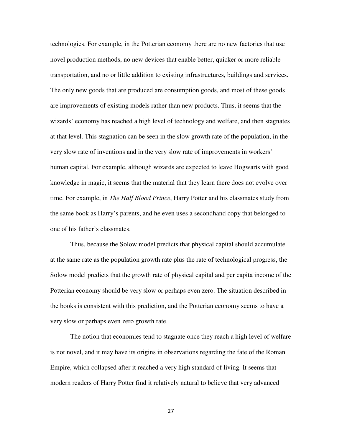technologies. For example, in the Potterian economy there are no new factories that use novel production methods, no new devices that enable better, quicker or more reliable transportation, and no or little addition to existing infrastructures, buildings and services. The only new goods that are produced are consumption goods, and most of these goods are improvements of existing models rather than new products. Thus, it seems that the wizards' economy has reached a high level of technology and welfare, and then stagnates at that level. This stagnation can be seen in the slow growth rate of the population, in the very slow rate of inventions and in the very slow rate of improvements in workers' human capital. For example, although wizards are expected to leave Hogwarts with good knowledge in magic, it seems that the material that they learn there does not evolve over time. For example, in *The Half Blood Prince*, Harry Potter and his classmates study from the same book as Harry's parents, and he even uses a secondhand copy that belonged to one of his father's classmates.

Thus, because the Solow model predicts that physical capital should accumulate at the same rate as the population growth rate plus the rate of technological progress, the Solow model predicts that the growth rate of physical capital and per capita income of the Potterian economy should be very slow or perhaps even zero. The situation described in the books is consistent with this prediction, and the Potterian economy seems to have a very slow or perhaps even zero growth rate.

The notion that economies tend to stagnate once they reach a high level of welfare is not novel, and it may have its origins in observations regarding the fate of the Roman Empire, which collapsed after it reached a very high standard of living. It seems that modern readers of Harry Potter find it relatively natural to believe that very advanced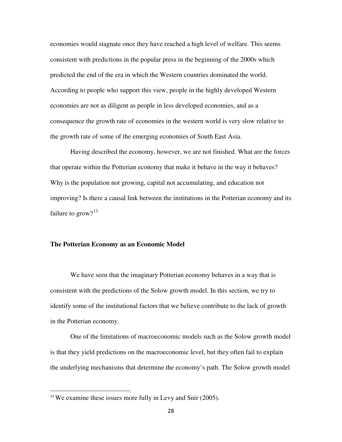economies would stagnate once they have reached a high level of welfare. This seems consistent with predictions in the popular press in the beginning of the 2000s which predicted the end of the era in which the Western countries dominated the world. According to people who support this view, people in the highly developed Western economies are not as diligent as people in less developed economies, and as a consequence the growth rate of economies in the western world is very slow relative to the growth rate of some of the emerging economies of South East Asia.

Having described the economy, however, we are not finished. What are the forces that operate within the Potterian economy that make it behave in the way it behaves? Why is the population not growing, capital not accumulating, and education not improving? Is there a causal link between the institutions in the Potterian economy and its failure to grow? $13$ 

#### **The Potterian Economy as an Economic Model**

We have seen that the imaginary Potterian economy behaves in a way that is consistent with the predictions of the Solow growth model. In this section, we try to identify some of the institutional factors that we believe contribute to the lack of growth in the Potterian economy.

One of the limitations of macroeconomic models such as the Solow growth model is that they yield predictions on the macroeconomic level, but they often fail to explain the underlying mechanisms that determine the economy's path. The Solow growth model

<span id="page-28-0"></span><sup>&</sup>lt;sup>13</sup> We examine these issues more fully in Levy and Snir (2005).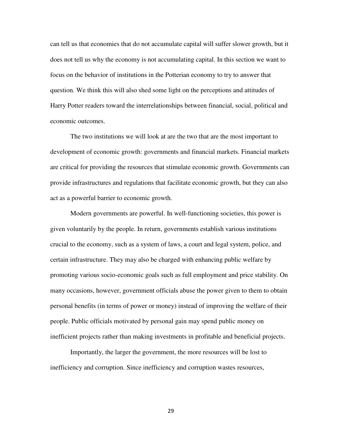can tell us that economies that do not accumulate capital will suffer slower growth, but it does not tell us why the economy is not accumulating capital. In this section we want to focus on the behavior of institutions in the Potterian economy to try to answer that question. We think this will also shed some light on the perceptions and attitudes of Harry Potter readers toward the interrelationships between financial, social, political and economic outcomes.

The two institutions we will look at are the two that are the most important to development of economic growth: governments and financial markets. Financial markets are critical for providing the resources that stimulate economic growth. Governments can provide infrastructures and regulations that facilitate economic growth, but they can also act as a powerful barrier to economic growth.

Modern governments are powerful. In well-functioning societies, this power is given voluntarily by the people. In return, governments establish various institutions crucial to the economy, such as a system of laws, a court and legal system, police, and certain infrastructure. They may also be charged with enhancing public welfare by promoting various socio-economic goals such as full employment and price stability. On many occasions, however, government officials abuse the power given to them to obtain personal benefits (in terms of power or money) instead of improving the welfare of their people. Public officials motivated by personal gain may spend public money on inefficient projects rather than making investments in profitable and beneficial projects.

Importantly, the larger the government, the more resources will be lost to inefficiency and corruption. Since inefficiency and corruption wastes resources,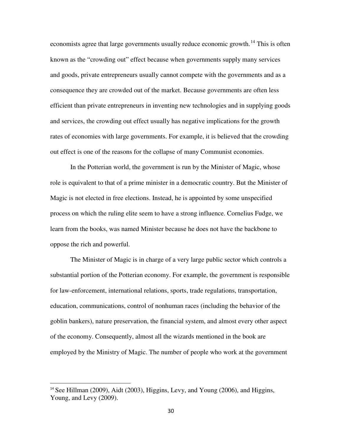economists agree that large governments usually reduce economic growth.<sup>[14](#page-28-0)</sup> This is often known as the "crowding out" effect because when governments supply many services and goods, private entrepreneurs usually cannot compete with the governments and as a consequence they are crowded out of the market. Because governments are often less efficient than private entrepreneurs in inventing new technologies and in supplying goods and services, the crowding out effect usually has negative implications for the growth rates of economies with large governments. For example, it is believed that the crowding out effect is one of the reasons for the collapse of many Communist economies.

In the Potterian world, the government is run by the Minister of Magic, whose role is equivalent to that of a prime minister in a democratic country. But the Minister of Magic is not elected in free elections. Instead, he is appointed by some unspecified process on which the ruling elite seem to have a strong influence. Cornelius Fudge, we learn from the books, was named Minister because he does not have the backbone to oppose the rich and powerful.

The Minister of Magic is in charge of a very large public sector which controls a substantial portion of the Potterian economy. For example, the government is responsible for law-enforcement, international relations, sports, trade regulations, transportation, education, communications, control of nonhuman races (including the behavior of the goblin bankers), nature preservation, the financial system, and almost every other aspect of the economy. Consequently, almost all the wizards mentioned in the book are employed by the Ministry of Magic. The number of people who work at the government

<span id="page-30-0"></span> $14$  See Hillman (2009), Aidt (2003), Higgins, Levy, and Young (2006), and Higgins, Young, and Levy (2009).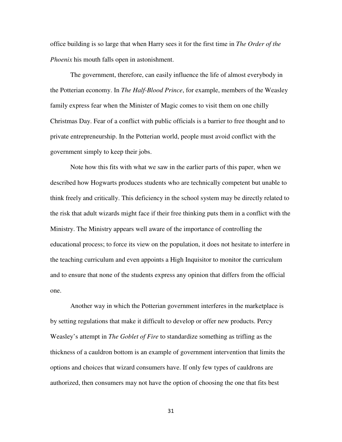office building is so large that when Harry sees it for the first time in *The Order of the Phoenix* his mouth falls open in astonishment.

The government, therefore, can easily influence the life of almost everybody in the Potterian economy. In *The Half-Blood Prince*, for example, members of the Weasley family express fear when the Minister of Magic comes to visit them on one chilly Christmas Day. Fear of a conflict with public officials is a barrier to free thought and to private entrepreneurship. In the Potterian world, people must avoid conflict with the government simply to keep their jobs.

Note how this fits with what we saw in the earlier parts of this paper, when we described how Hogwarts produces students who are technically competent but unable to think freely and critically. This deficiency in the school system may be directly related to the risk that adult wizards might face if their free thinking puts them in a conflict with the Ministry. The Ministry appears well aware of the importance of controlling the educational process; to force its view on the population, it does not hesitate to interfere in the teaching curriculum and even appoints a High Inquisitor to monitor the curriculum and to ensure that none of the students express any opinion that differs from the official one.

Another way in which the Potterian government interferes in the marketplace is by setting regulations that make it difficult to develop or offer new products. Percy Weasley's attempt in *The Goblet of Fire* to standardize something as trifling as the thickness of a cauldron bottom is an example of government intervention that limits the options and choices that wizard consumers have. If only few types of cauldrons are authorized, then consumers may not have the option of choosing the one that fits best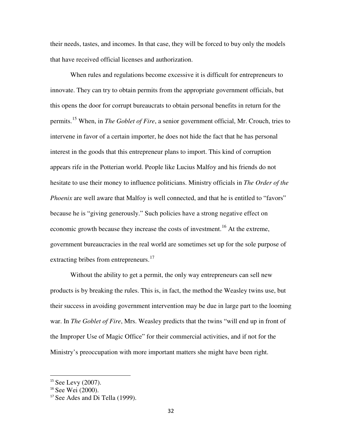their needs, tastes, and incomes. In that case, they will be forced to buy only the models that have received official licenses and authorization.

When rules and regulations become excessive it is difficult for entrepreneurs to innovate. They can try to obtain permits from the appropriate government officials, but this opens the door for corrupt bureaucrats to obtain personal benefits in return for the permits.[15](#page-30-0) When, in *The Goblet of Fire*, a senior government official, Mr. Crouch, tries to intervene in favor of a certain importer, he does not hide the fact that he has personal interest in the goods that this entrepreneur plans to import. This kind of corruption appears rife in the Potterian world. People like Lucius Malfoy and his friends do not hesitate to use their money to influence politicians. Ministry officials in *The Order of the Phoenix* are well aware that Malfoy is well connected, and that he is entitled to "favors" because he is "giving generously." Such policies have a strong negative effect on economic growth because they increase the costs of investment.<sup>[16](#page-32-0)</sup> At the extreme, government bureaucracies in the real world are sometimes set up for the sole purpose of extracting bribes from entrepreneurs.<sup>[17](#page-32-1)</sup>

Without the ability to get a permit, the only way entrepreneurs can sell new products is by breaking the rules. This is, in fact, the method the Weasley twins use, but their success in avoiding government intervention may be due in large part to the looming war. In *The Goblet of Fire*, Mrs. Weasley predicts that the twins "will end up in front of the Improper Use of Magic Office" for their commercial activities, and if not for the Ministry's preoccupation with more important matters she might have been right.

 $15$  See Levy (2007).

<span id="page-32-0"></span><sup>&</sup>lt;sup>16</sup> See Wei (2000).

<span id="page-32-1"></span><sup>&</sup>lt;sup>17</sup> See Ades and Di Tella (1999).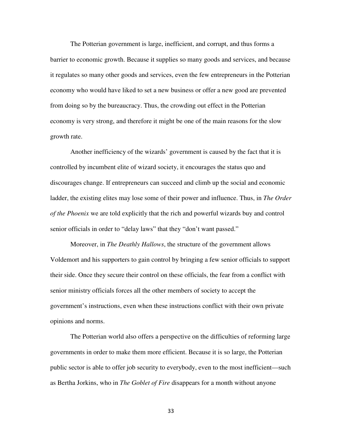The Potterian government is large, inefficient, and corrupt, and thus forms a barrier to economic growth. Because it supplies so many goods and services, and because it regulates so many other goods and services, even the few entrepreneurs in the Potterian economy who would have liked to set a new business or offer a new good are prevented from doing so by the bureaucracy. Thus, the crowding out effect in the Potterian economy is very strong, and therefore it might be one of the main reasons for the slow growth rate.

Another inefficiency of the wizards' government is caused by the fact that it is controlled by incumbent elite of wizard society, it encourages the status quo and discourages change. If entrepreneurs can succeed and climb up the social and economic ladder, the existing elites may lose some of their power and influence. Thus, in *The Order of the Phoenix* we are told explicitly that the rich and powerful wizards buy and control senior officials in order to "delay laws" that they "don't want passed."

Moreover, in *The Deathly Hallows*, the structure of the government allows Voldemort and his supporters to gain control by bringing a few senior officials to support their side. Once they secure their control on these officials, the fear from a conflict with senior ministry officials forces all the other members of society to accept the government's instructions, even when these instructions conflict with their own private opinions and norms.

The Potterian world also offers a perspective on the difficulties of reforming large governments in order to make them more efficient. Because it is so large, the Potterian public sector is able to offer job security to everybody, even to the most inefficient—such as Bertha Jorkins, who in *The Goblet of Fire* disappears for a month without anyone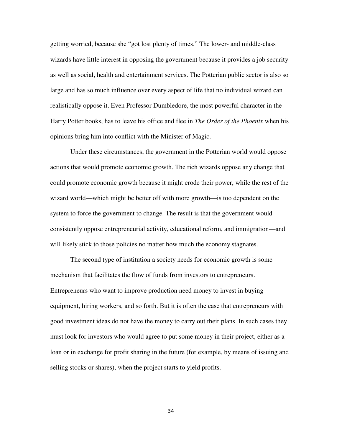getting worried, because she "got lost plenty of times." The lower- and middle-class wizards have little interest in opposing the government because it provides a job security as well as social, health and entertainment services. The Potterian public sector is also so large and has so much influence over every aspect of life that no individual wizard can realistically oppose it. Even Professor Dumbledore, the most powerful character in the Harry Potter books, has to leave his office and flee in *The Order of the Phoenix* when his opinions bring him into conflict with the Minister of Magic.

Under these circumstances, the government in the Potterian world would oppose actions that would promote economic growth. The rich wizards oppose any change that could promote economic growth because it might erode their power, while the rest of the wizard world—which might be better off with more growth—is too dependent on the system to force the government to change. The result is that the government would consistently oppose entrepreneurial activity, educational reform, and immigration—and will likely stick to those policies no matter how much the economy stagnates.

The second type of institution a society needs for economic growth is some mechanism that facilitates the flow of funds from investors to entrepreneurs. Entrepreneurs who want to improve production need money to invest in buying equipment, hiring workers, and so forth. But it is often the case that entrepreneurs with good investment ideas do not have the money to carry out their plans. In such cases they must look for investors who would agree to put some money in their project, either as a loan or in exchange for profit sharing in the future (for example, by means of issuing and selling stocks or shares), when the project starts to yield profits.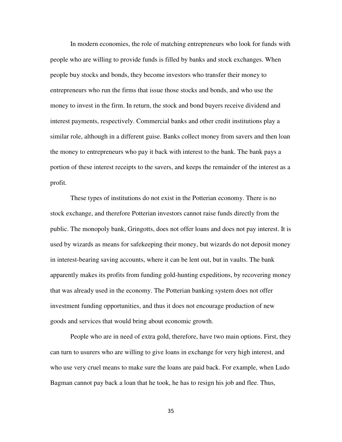In modern economies, the role of matching entrepreneurs who look for funds with people who are willing to provide funds is filled by banks and stock exchanges. When people buy stocks and bonds, they become investors who transfer their money to entrepreneurs who run the firms that issue those stocks and bonds, and who use the money to invest in the firm. In return, the stock and bond buyers receive dividend and interest payments, respectively. Commercial banks and other credit institutions play a similar role, although in a different guise. Banks collect money from savers and then loan the money to entrepreneurs who pay it back with interest to the bank. The bank pays a portion of these interest receipts to the savers, and keeps the remainder of the interest as a profit.

These types of institutions do not exist in the Potterian economy. There is no stock exchange, and therefore Potterian investors cannot raise funds directly from the public. The monopoly bank, Gringotts, does not offer loans and does not pay interest. It is used by wizards as means for safekeeping their money, but wizards do not deposit money in interest-bearing saving accounts, where it can be lent out, but in vaults. The bank apparently makes its profits from funding gold-hunting expeditions, by recovering money that was already used in the economy. The Potterian banking system does not offer investment funding opportunities, and thus it does not encourage production of new goods and services that would bring about economic growth.

People who are in need of extra gold, therefore, have two main options. First, they can turn to usurers who are willing to give loans in exchange for very high interest, and who use very cruel means to make sure the loans are paid back. For example, when Ludo Bagman cannot pay back a loan that he took, he has to resign his job and flee. Thus,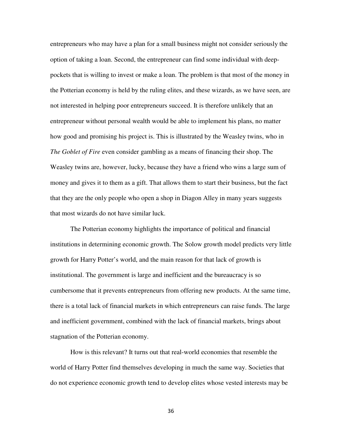entrepreneurs who may have a plan for a small business might not consider seriously the option of taking a loan. Second, the entrepreneur can find some individual with deeppockets that is willing to invest or make a loan. The problem is that most of the money in the Potterian economy is held by the ruling elites, and these wizards, as we have seen, are not interested in helping poor entrepreneurs succeed. It is therefore unlikely that an entrepreneur without personal wealth would be able to implement his plans, no matter how good and promising his project is. This is illustrated by the Weasley twins, who in *The Goblet of Fire* even consider gambling as a means of financing their shop. The Weasley twins are, however, lucky, because they have a friend who wins a large sum of money and gives it to them as a gift. That allows them to start their business, but the fact that they are the only people who open a shop in Diagon Alley in many years suggests that most wizards do not have similar luck.

The Potterian economy highlights the importance of political and financial institutions in determining economic growth. The Solow growth model predicts very little growth for Harry Potter's world, and the main reason for that lack of growth is institutional. The government is large and inefficient and the bureaucracy is so cumbersome that it prevents entrepreneurs from offering new products. At the same time, there is a total lack of financial markets in which entrepreneurs can raise funds. The large and inefficient government, combined with the lack of financial markets, brings about stagnation of the Potterian economy.

How is this relevant? It turns out that real-world economies that resemble the world of Harry Potter find themselves developing in much the same way. Societies that do not experience economic growth tend to develop elites whose vested interests may be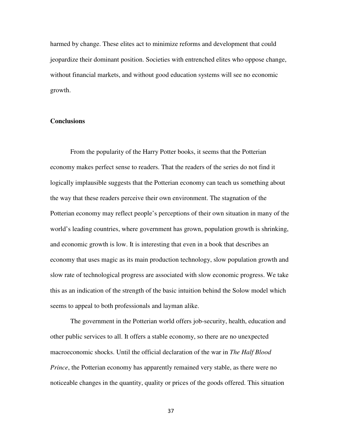harmed by change. These elites act to minimize reforms and development that could jeopardize their dominant position. Societies with entrenched elites who oppose change, without financial markets, and without good education systems will see no economic growth.

#### **Conclusions**

From the popularity of the Harry Potter books, it seems that the Potterian economy makes perfect sense to readers. That the readers of the series do not find it logically implausible suggests that the Potterian economy can teach us something about the way that these readers perceive their own environment. The stagnation of the Potterian economy may reflect people's perceptions of their own situation in many of the world's leading countries, where government has grown, population growth is shrinking, and economic growth is low. It is interesting that even in a book that describes an economy that uses magic as its main production technology, slow population growth and slow rate of technological progress are associated with slow economic progress. We take this as an indication of the strength of the basic intuition behind the Solow model which seems to appeal to both professionals and layman alike.

The government in the Potterian world offers job-security, health, education and other public services to all. It offers a stable economy, so there are no unexpected macroeconomic shocks. Until the official declaration of the war in *The Half Blood Prince*, the Potterian economy has apparently remained very stable, as there were no noticeable changes in the quantity, quality or prices of the goods offered. This situation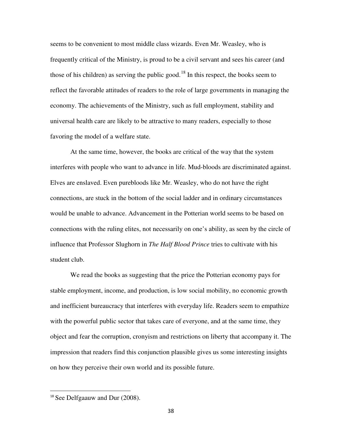seems to be convenient to most middle class wizards. Even Mr. Weasley, who is frequently critical of the Ministry, is proud to be a civil servant and sees his career (and those of his children) as serving the public good.<sup>[18](#page-32-1)</sup> In this respect, the books seem to reflect the favorable attitudes of readers to the role of large governments in managing the economy. The achievements of the Ministry, such as full employment, stability and universal health care are likely to be attractive to many readers, especially to those favoring the model of a welfare state.

At the same time, however, the books are critical of the way that the system interferes with people who want to advance in life. Mud-bloods are discriminated against. Elves are enslaved. Even purebloods like Mr. Weasley, who do not have the right connections, are stuck in the bottom of the social ladder and in ordinary circumstances would be unable to advance. Advancement in the Potterian world seems to be based on connections with the ruling elites, not necessarily on one's ability, as seen by the circle of influence that Professor Slughorn in *The Half Blood Prince* tries to cultivate with his student club.

We read the books as suggesting that the price the Potterian economy pays for stable employment, income, and production, is low social mobility, no economic growth and inefficient bureaucracy that interferes with everyday life. Readers seem to empathize with the powerful public sector that takes care of everyone, and at the same time, they object and fear the corruption, cronyism and restrictions on liberty that accompany it. The impression that readers find this conjunction plausible gives us some interesting insights on how they perceive their own world and its possible future.

<sup>&</sup>lt;sup>18</sup> See Delfgaauw and Dur (2008).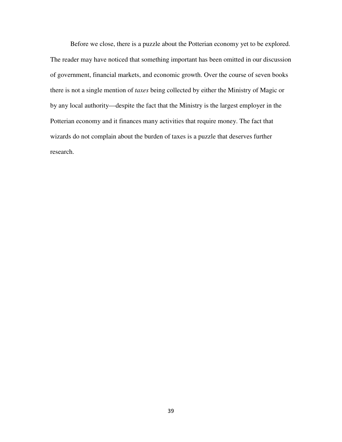Before we close, there is a puzzle about the Potterian economy yet to be explored. The reader may have noticed that something important has been omitted in our discussion of government, financial markets, and economic growth. Over the course of seven books there is not a single mention of *taxes* being collected by either the Ministry of Magic or by any local authority—despite the fact that the Ministry is the largest employer in the Potterian economy and it finances many activities that require money. The fact that wizards do not complain about the burden of taxes is a puzzle that deserves further research.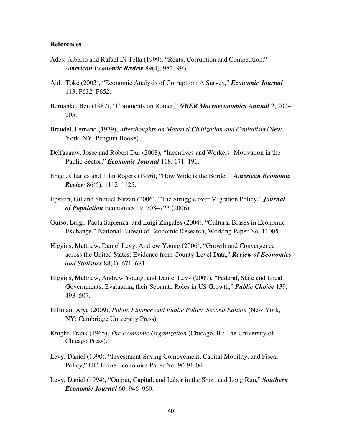#### **References**

- Ades, Alberto and Rafael Di Tella (1999), "Rents, Corruption and Competition," *American Economic Review* 89(4), 982‒993.
- Aidt, Toke (2003), "Economic Analysis of Corruption: A Survey," *Economic Journal* 113, F632‒F652.
- Bernanke, Ben (1987), "Comments on Romer," *NBER Macroeconomics Annual* 2, 202– 205.
- Braudel, Fernand (1979), *Afterthoughts on Material Civilization and Capitalism* (New York, NY: Penguin Books).
- Delfgaauw, Josse and Robert Dur (2008), "Incentives and Workers' Motivation in the Public Sector," *Economic Journal* 118, 171-191.
- Engel, Charles and John Rogers (1996), "How Wide is the Border," *American Economic Review* 86(5), 1112–1125.
- Epstein, Gil and Shmuel Nitzan (2006), "The Struggle over Migration Policy," *Journal of Population* Economics 19, 703‒723 (2006).
- Guiso, Luigi, Paola Sapienza, and Luigi Zingales (2004), "Cultural Biases in Economic Exchange," National Bureau of Economic Research, Working Paper No. 11005.
- Higgins, Matthew, Daniel Levy, Andrew Young (2006), "Growth and Convergence across the United States: Evidence from County-Level Data," *Review of Economics and Statistics* 88(4), 671‒681.
- Higgins, Matthew, Andrew Young, and Daniel Levy (2009), "Federal, State and Local Governments: Evaluating their Separate Roles in US Growth," *Public Choice* 139, 493‒507.
- Hillman, Arye (2009), *Public Finance and Public Policy, Second Edition* (New York, NY: Cambridge University Press).
- Knight, Frank (1965), *The Economic Organization* (Chicago, IL: The University of Chicago Press).
- Levy, Daniel (1990), "Investment-Saving Comovement, Capital Mobility, and Fiscal Policy," UC-Irvine Economics Paper No. 90-91-04.
- Levy, Daniel (1994), "Output, Capital, and Labor in the Short and Long Run," *Southern Economic Journal* 60, 946‒960.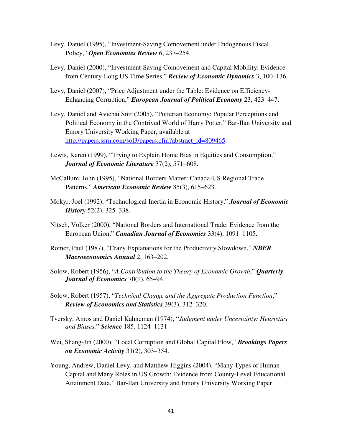- Levy, Daniel (1995), "Investment-Saving Comovement under Endogenous Fiscal Policy," **Open Economies Review** 6, 237–254.
- Levy, Daniel (2000), "Investment-Saving Comovement and Capital Mobility: Evidence from Century-Long US Time Series," Review of Economic Dynamics 3, 100-136.
- Levy, Daniel (2007), "Price Adjustment under the Table: Evidence on Efficiency-Enhancing Corruption," *European Journal of Political Economy* 23, 423–447.
- Levy, Daniel and Avichai Snir (2005), "Potterian Economy: Popular Perceptions and Political Economy in the Contrived World of Harry Potter," Bar-Ilan University and Emory University Working Paper, available at http://papers.ssrn.com/sol3/papers.cfm?abstract\_id=809465.
- Lewis, Karen (1999), "Trying to Explain Home Bias in Equities and Consumption," *Journal of Economic Literature* 37(2), 571–608.
- McCallum, John (1995), "National Borders Matter: Canada-US Regional Trade Patterns," *American Economic Review* 85(3), 615–623.
- Mokyr, Joel (1992), "Technological Inertia in Economic History," *Journal of Economic History* 52(2), 325–338.
- Nitsch, Volker (2000), "National Borders and International Trade: Evidence from the European Union," *Canadian Journal of Economics* 33(4), 1091–1105.
- Romer, Paul (1987), "Crazy Explanations for the Productivity Slowdown," *NBER Macroeconomics Annual* 2, 163–202.
- Solow, Robert (1956), "*A Contribution to the Theory of Economic Growth*," *Quarterly Journal of Economics* 70(1), 65–94.
- Solow, Robert (1957), "*Technical Change and the Aggregate Production Function*," *Review of Economics and Statistics* 39(3), 312‒320.
- Tversky, Amos and Daniel Kahneman (1974), "*Judgment under Uncertainty: Heuristics and Biases,*" *Science* 185, 1124‒1131.
- Wei, Shang-Jin (2000), "Local Corruption and Global Capital Flow," *Brookings Papers on Economic Activity* 31(2), 303‒354.
- Young, Andrew, Daniel Levy, and Matthew Higgins (2004), "Many Types of Human Capital and Many Roles in US Growth: Evidence from County-Level Educational Attainment Data," Bar-Ilan University and Emory University Working Paper